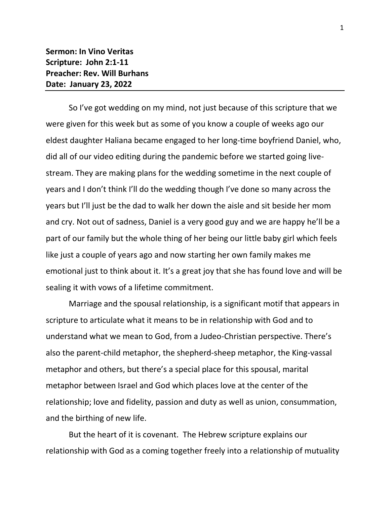So I've got wedding on my mind, not just because of this scripture that we were given for this week but as some of you know a couple of weeks ago our eldest daughter Haliana became engaged to her long-time boyfriend Daniel, who, did all of our video editing during the pandemic before we started going livestream. They are making plans for the wedding sometime in the next couple of years and I don't think I'll do the wedding though I've done so many across the years but I'll just be the dad to walk her down the aisle and sit beside her mom and cry. Not out of sadness, Daniel is a very good guy and we are happy he'll be a part of our family but the whole thing of her being our little baby girl which feels like just a couple of years ago and now starting her own family makes me emotional just to think about it. It's a great joy that she has found love and will be sealing it with vows of a lifetime commitment.

Marriage and the spousal relationship, is a significant motif that appears in scripture to articulate what it means to be in relationship with God and to understand what we mean to God, from a Judeo-Christian perspective. There's also the parent-child metaphor, the shepherd-sheep metaphor, the King-vassal metaphor and others, but there's a special place for this spousal, marital metaphor between Israel and God which places love at the center of the relationship; love and fidelity, passion and duty as well as union, consummation, and the birthing of new life.

But the heart of it is covenant. The Hebrew scripture explains our relationship with God as a coming together freely into a relationship of mutuality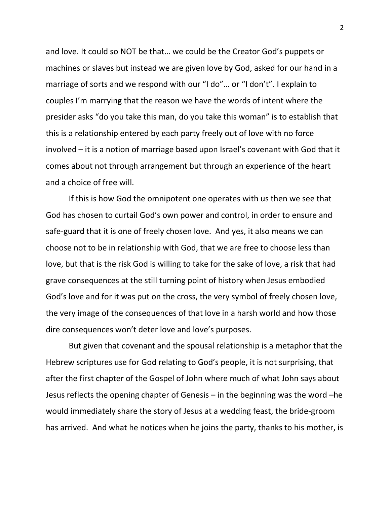and love. It could so NOT be that… we could be the Creator God's puppets or machines or slaves but instead we are given love by God, asked for our hand in a marriage of sorts and we respond with our "I do"… or "I don't". I explain to couples I'm marrying that the reason we have the words of intent where the presider asks "do you take this man, do you take this woman" is to establish that this is a relationship entered by each party freely out of love with no force involved – it is a notion of marriage based upon Israel's covenant with God that it comes about not through arrangement but through an experience of the heart and a choice of free will.

If this is how God the omnipotent one operates with us then we see that God has chosen to curtail God's own power and control, in order to ensure and safe-guard that it is one of freely chosen love. And yes, it also means we can choose not to be in relationship with God, that we are free to choose less than love, but that is the risk God is willing to take for the sake of love, a risk that had grave consequences at the still turning point of history when Jesus embodied God's love and for it was put on the cross, the very symbol of freely chosen love, the very image of the consequences of that love in a harsh world and how those dire consequences won't deter love and love's purposes.

But given that covenant and the spousal relationship is a metaphor that the Hebrew scriptures use for God relating to God's people, it is not surprising, that after the first chapter of the Gospel of John where much of what John says about Jesus reflects the opening chapter of Genesis – in the beginning was the word –he would immediately share the story of Jesus at a wedding feast, the bride-groom has arrived. And what he notices when he joins the party, thanks to his mother, is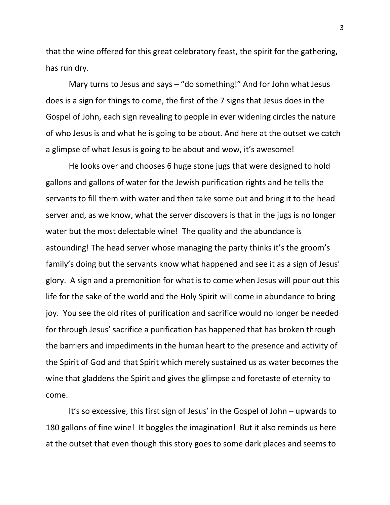that the wine offered for this great celebratory feast, the spirit for the gathering, has run dry.

Mary turns to Jesus and says – "do something!" And for John what Jesus does is a sign for things to come, the first of the 7 signs that Jesus does in the Gospel of John, each sign revealing to people in ever widening circles the nature of who Jesus is and what he is going to be about. And here at the outset we catch a glimpse of what Jesus is going to be about and wow, it's awesome!

He looks over and chooses 6 huge stone jugs that were designed to hold gallons and gallons of water for the Jewish purification rights and he tells the servants to fill them with water and then take some out and bring it to the head server and, as we know, what the server discovers is that in the jugs is no longer water but the most delectable wine! The quality and the abundance is astounding! The head server whose managing the party thinks it's the groom's family's doing but the servants know what happened and see it as a sign of Jesus' glory. A sign and a premonition for what is to come when Jesus will pour out this life for the sake of the world and the Holy Spirit will come in abundance to bring joy. You see the old rites of purification and sacrifice would no longer be needed for through Jesus' sacrifice a purification has happened that has broken through the barriers and impediments in the human heart to the presence and activity of the Spirit of God and that Spirit which merely sustained us as water becomes the wine that gladdens the Spirit and gives the glimpse and foretaste of eternity to come.

It's so excessive, this first sign of Jesus' in the Gospel of John – upwards to 180 gallons of fine wine! It boggles the imagination! But it also reminds us here at the outset that even though this story goes to some dark places and seems to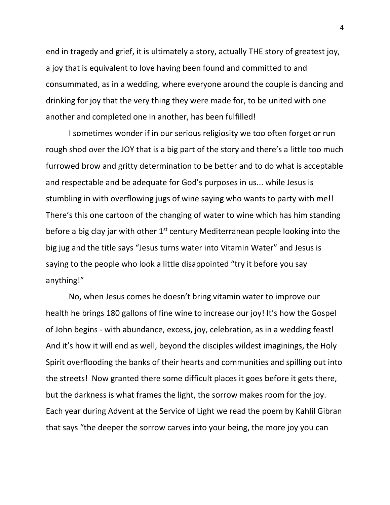end in tragedy and grief, it is ultimately a story, actually THE story of greatest joy, a joy that is equivalent to love having been found and committed to and consummated, as in a wedding, where everyone around the couple is dancing and drinking for joy that the very thing they were made for, to be united with one another and completed one in another, has been fulfilled!

I sometimes wonder if in our serious religiosity we too often forget or run rough shod over the JOY that is a big part of the story and there's a little too much furrowed brow and gritty determination to be better and to do what is acceptable and respectable and be adequate for God's purposes in us... while Jesus is stumbling in with overflowing jugs of wine saying who wants to party with me!! There's this one cartoon of the changing of water to wine which has him standing before a big clay jar with other  $1<sup>st</sup>$  century Mediterranean people looking into the big jug and the title says "Jesus turns water into Vitamin Water" and Jesus is saying to the people who look a little disappointed "try it before you say anything!"

No, when Jesus comes he doesn't bring vitamin water to improve our health he brings 180 gallons of fine wine to increase our joy! It's how the Gospel of John begins - with abundance, excess, joy, celebration, as in a wedding feast! And it's how it will end as well, beyond the disciples wildest imaginings, the Holy Spirit overflooding the banks of their hearts and communities and spilling out into the streets! Now granted there some difficult places it goes before it gets there, but the darkness is what frames the light, the sorrow makes room for the joy. Each year during Advent at the Service of Light we read the poem by Kahlil Gibran that says "the deeper the sorrow carves into your being, the more joy you can